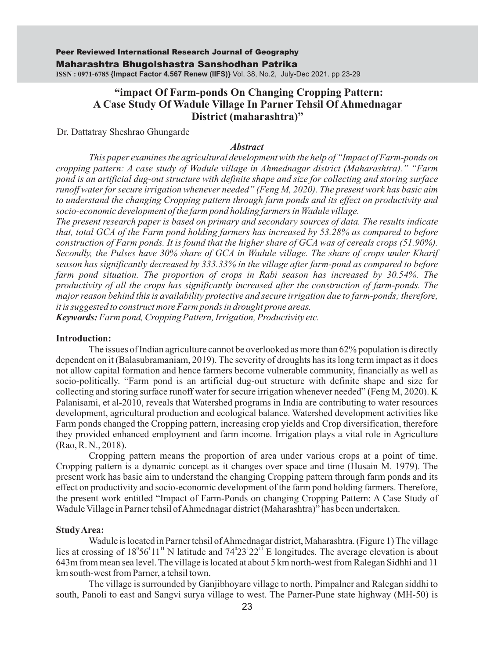## **"impact Of Farm-ponds On Changing Cropping Pattern: A Case Study Of Wadule Village In Parner Tehsil Of Ahmednagar District (maharashtra)"**

Dr. Dattatray Sheshrao Ghungarde

#### *Abstract*

*This paper examines the agricultural development with the help of "Impact of Farm-ponds on cropping pattern: A case study of Wadule village in Ahmednagar district (Maharashtra)." "Farm pond is an artificial dug-out structure with definite shape and size for collecting and storing surface runoff water for secure irrigation whenever needed" (Feng M, 2020). The present work has basic aim to understand the changing Cropping pattern through farm ponds and its effect on productivity and socio-economic development of the farm pond holding farmers in Wadule village.* 

*The present research paper is based on primary and secondary sources of data. The results indicate that, total GCA of the Farm pond holding farmers has increased by 53.28% as compared to before construction of Farm ponds. It is found that the higher share of GCA was of cereals crops (51.90%). Secondly, the Pulses have 30% share of GCA in Wadule village. The share of crops under Kharif season has significantly decreased by 333.33% in the village after farm-pond as compared to before farm pond situation. The proportion of crops in Rabi season has increased by 30.54%. The productivity of all the crops has significantly increased after the construction of farm-ponds. The major reason behind this is availability protective and secure irrigation due to farm-ponds; therefore, it is suggested to construct more Farm ponds in drought prone areas.*

*Keywords:Farm pond, Cropping Pattern, Irrigation, Productivity etc.*

#### **Introduction:**

The issues of Indian agriculture cannot be overlooked as more than 62% population is directly dependent on it (Balasubramaniam, 2019). The severity of droughts has its long term impact as it does not allow capital formation and hence farmers become vulnerable community, financially as well as socio-politically. "Farm pond is an artificial dug-out structure with definite shape and size for collecting and storing surface runoff water for secure irrigation whenever needed" (Feng M, 2020). K Palanisami, et al-2010, reveals that Watershed programs in India are contributing to water resources development, agricultural production and ecological balance. Watershed development activities like Farm ponds changed the Cropping pattern, increasing crop yields and Crop diversification, therefore they provided enhanced employment and farm income. Irrigation plays a vital role in Agriculture (Rao, R. N., 2018).

Cropping pattern means the proportion of area under various crops at a point of time. Cropping pattern is a dynamic concept as it changes over space and time (Husain M. 1979). The present work has basic aim to understand the changing Cropping pattern through farm ponds and its effect on productivity and socio-economic development of the farm pond holding farmers. Therefore, the present work entitled "Impact of Farm-Ponds on changing Cropping Pattern: A Case Study of Wadule Village in Parner tehsil of Ahmednagar district (Maharashtra)" has been undertaken.

#### **Study Area:**

Wadule is located in Parner tehsil of Ahmednagar district, Maharashtra. (Figure 1) The village lies at crossing of  $18^{\circ}56^{\circ}11^{\prime\prime}$  N latitude and  $74^{\circ}23^{\prime}22^{\prime\prime}$  E longitudes. The average elevation is about 643m from mean sea level. The village is located at about 5 km north-west from Ralegan Sidhhi and 11 km south-west from Parner, a tehsil town.

The village is surrounded by Ganjibhoyare village to north, Pimpalner and Ralegan siddhi to south, Panoli to east and Sangvi surya village to west. The Parner-Pune state highway (MH-50) is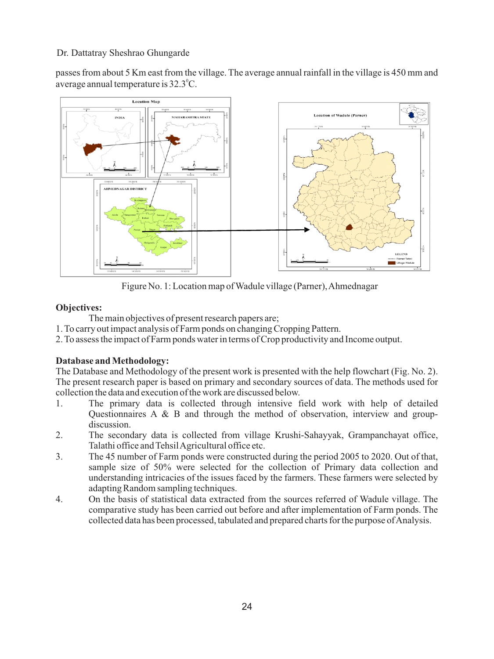passes from about 5 Km east from the village. The average annual rainfall in the village is 450 mm and average annual temperature is  $32.3^{\circ}$ C.



Figure No. 1: Location map of Wadule village (Parner), Ahmednagar

## **Objectives:**

The main objectives of present research papers are;

- 1. To carry out impact analysis of Farm ponds on changing Cropping Pattern.
- 2. To assess the impact of Farm ponds water in terms of Crop productivity and Income output.

## **Database and Methodology:**

The Database and Methodology of the present work is presented with the help flowchart (Fig. No. 2). The present research paper is based on primary and secondary sources of data. The methods used for collection the data and execution of the work are discussed below.

- 1. The primary data is collected through intensive field work with help of detailed Questionnaires A & B and through the method of observation, interview and groupdiscussion.
- 2. The secondary data is collected from village Krushi-Sahayyak, Grampanchayat office, Talathi office and Tehsil Agricultural office etc.
- 3. The 45 number of Farm ponds were constructed during the period 2005 to 2020. Out of that, sample size of 50% were selected for the collection of Primary data collection and understanding intricacies of the issues faced by the farmers. These farmers were selected by adapting Random sampling techniques.
- 4. On the basis of statistical data extracted from the sources referred of Wadule village. The comparative study has been carried out before and after implementation of Farm ponds. The collected data has been processed, tabulated and prepared charts for the purpose of Analysis.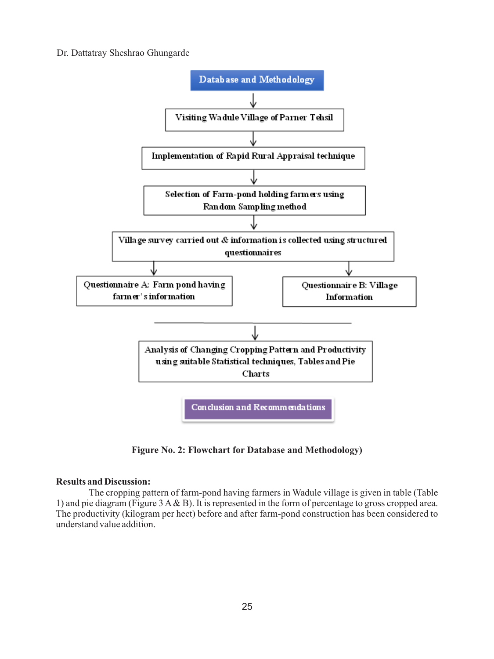

**Figure No. 2: Flowchart for Database and Methodology)**

### **Results and Discussion:**

The cropping pattern of farm-pond having farmers in Wadule village is given in table (Table 1) and pie diagram (Figure 3 A& B). It is represented in the form of percentage to gross cropped area. The productivity (kilogram per hect) before and after farm-pond construction has been considered to understand value addition.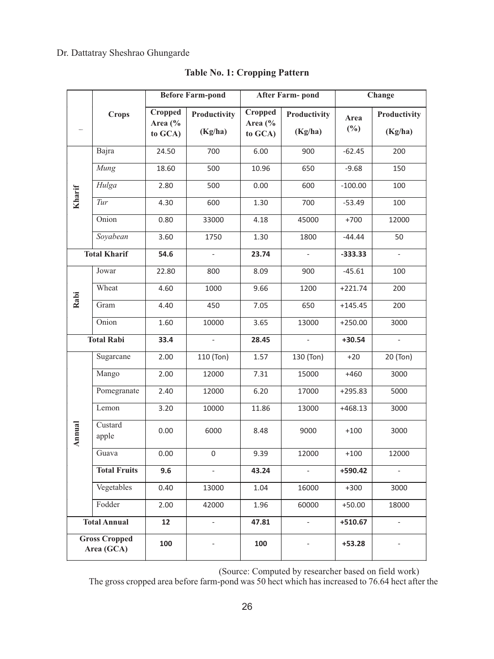|                                    |                     |                               | <b>Before Farm-pond</b>        |                                          | <b>After Farm-pond</b>   | Change         |                          |  |
|------------------------------------|---------------------|-------------------------------|--------------------------------|------------------------------------------|--------------------------|----------------|--------------------------|--|
| $\overline{a}$                     | <b>Crops</b>        | Cropped<br>Area (%<br>to GCA) | <b>Productivity</b><br>(Kg/ha) | Cropped<br>Area $\frac{6}{6}$<br>to GCA) | Productivity<br>(Kg/ha)  | Area<br>$(\%)$ | Productivity<br>(Kg/ha)  |  |
|                                    | Bajra               | 24.50                         | 700                            | 6.00                                     | 900                      | $-62.45$       | 200                      |  |
|                                    | Mung                | 18.60                         | 500                            | 10.96                                    | 650                      | $-9.68$        | 150                      |  |
|                                    | Hulga               | 2.80                          | 500                            | 0.00                                     | 600                      | $-100.00$      | 100                      |  |
| Kharif                             | Tur                 | 4.30                          | 600                            | 1.30                                     | 700                      | $-53.49$       | 100                      |  |
|                                    | Onion               | 0.80                          | 33000                          | 4.18                                     | 45000                    | $+700$         | 12000                    |  |
|                                    | Soyabean            | 3.60                          | 1750                           | 1.30                                     | 1800                     | $-44.44$       | 50                       |  |
| <b>Total Kharif</b>                |                     | 54.6                          | $\overline{\phantom{a}}$       | 23.74                                    | $\overline{a}$           | $-333.33$      | ÷,                       |  |
|                                    | Jowar               | 22.80                         | 800                            | 8.09                                     | 900                      | $-45.61$       | 100                      |  |
|                                    | Wheat               | 4.60                          | 1000                           | 9.66                                     | 1200                     | $+221.74$      | 200                      |  |
| Rabi                               | Gram                | 4.40                          | 450                            | 7.05                                     | 650                      | $+145.45$      | 200                      |  |
|                                    | Onion               | 1.60                          | 10000                          | 3.65                                     | 13000                    | $+250.00$      | 3000                     |  |
| <b>Total Rabi</b>                  |                     | 33.4                          | $\overline{a}$                 | 28.45                                    | $\overline{\phantom{a}}$ | $+30.54$       | $\overline{\phantom{a}}$ |  |
|                                    | Sugarcane           | 2.00                          | 110 (Ton)                      | 1.57                                     | 130 (Ton)                | $+20$          | 20 (Ton)                 |  |
|                                    | Mango               | 2.00                          | 12000                          | 7.31                                     | 15000                    | $+460$         | 3000                     |  |
|                                    | Pomegranate         | 2.40                          | 12000                          | 6.20                                     | 17000                    | $+295.83$      | 5000                     |  |
|                                    | Lemon               | 3.20                          | 10000                          | 11.86                                    | 13000                    | $+468.13$      | 3000                     |  |
| Annual                             | Custard<br>apple    | 0.00                          | 6000                           | 8.48                                     | 9000                     | $+100$         | 3000                     |  |
|                                    | Guava               | 0.00                          | 0                              | 9.39                                     | 12000                    | $+100$         | 12000                    |  |
|                                    | <b>Total Fruits</b> | 9.6                           | ÷,                             | 43.24                                    |                          | +590.42        |                          |  |
|                                    | Vegetables          | 0.40                          | 13000                          | 1.04                                     | 16000                    | $+300$         | 3000                     |  |
|                                    | Fodder              | 2.00                          | 42000                          | 1.96                                     | 60000                    | $+50.00$       | 18000                    |  |
|                                    | <b>Total Annual</b> | 12                            | $\overline{a}$                 | 47.81                                    | $\overline{a}$           | $+510.67$      |                          |  |
| <b>Gross Cropped</b><br>Area (GCA) |                     | 100                           |                                | 100                                      |                          | $+53.28$       |                          |  |

**Table No. 1: Cropping Pattern**

(Source: Computed by researcher based on field work)

The gross cropped area before farm-pond was 50 hect which has increased to 76.64 hect after the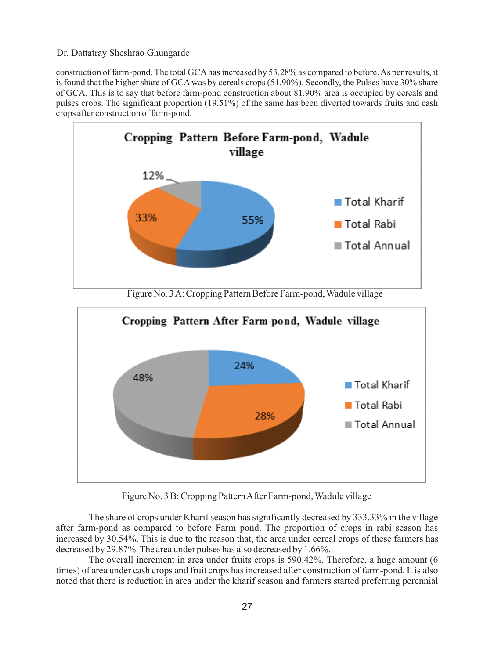construction of farm-pond. The total GCAhas increased by 53.28% as compared to before. As per results, it is found that the higher share of GCAwas by cereals crops (51.90%). Secondly, the Pulses have 30% share of GCA. This is to say that before farm-pond construction about 81.90% area is occupied by cereals and pulses crops. The significant proportion (19.51%) of the same has been diverted towards fruits and cash crops after construction of farm-pond.



Figure No. 3 A: Cropping Pattern Before Farm-pond, Wadule village



Figure No. 3 B: Cropping Pattern After Farm-pond, Wadule village

The share of crops under Kharif season has significantly decreased by 333.33% in the village after farm-pond as compared to before Farm pond. The proportion of crops in rabi season has increased by 30.54%. This is due to the reason that, the area under cereal crops of these farmers has decreased by 29.87%. The area under pulses has also decreased by 1.66%.

The overall increment in area under fruits crops is 590.42%. Therefore, a huge amount (6 times) of area under cash crops and fruit crops has increased after construction of farm-pond. It is also noted that there is reduction in area under the kharif season and farmers started preferring perennial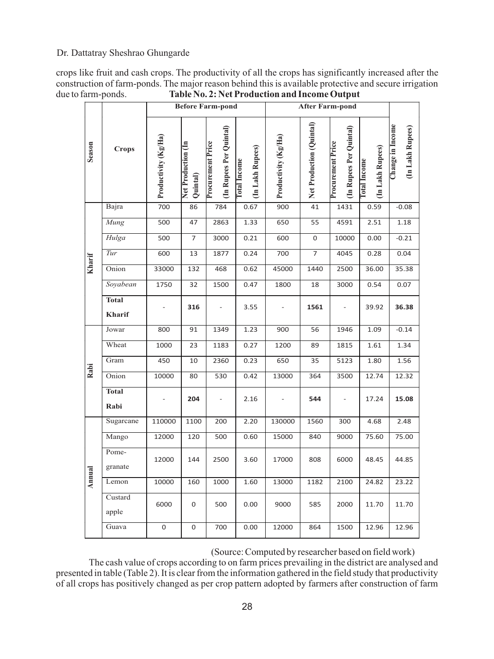crops like fruit and cash crops. The productivity of all the crops has significantly increased after the construction of farm-ponds. The major reason behind this is available protective and secure irrigation<br>due to farm-ponds.<br>Table No. 2: Net Production and Income Output Table No. 2: Net Production and Income Output

| Season | <b>Crops</b>           | Productivity (Kg/Ha) | Net Production (In<br>Quintal) | (In Rupees Per Quintal)<br><b>Procurement Price</b> | (In Lakh Rupees)<br><b>Total Income</b> | Productivity (Kg/Ha) | Net Production (Quintal) | (In Rupees Per Quintal)<br><b>Procurement Price</b> | (In Lakh Rupees)<br><b>Total Income</b> | Change in Income<br>(In Lakh Rupees) |
|--------|------------------------|----------------------|--------------------------------|-----------------------------------------------------|-----------------------------------------|----------------------|--------------------------|-----------------------------------------------------|-----------------------------------------|--------------------------------------|
|        | Bajra                  | 700                  | 86                             | 784                                                 | 0.67                                    | 900                  | 41                       | 1431                                                | 0.59                                    | $-0.08$                              |
|        | Mung                   | 500                  | 47                             | 2863                                                | 1.33                                    | 650                  | 55                       | 4591                                                | 2.51                                    | 1.18                                 |
|        | Hulga                  | 500                  | 7                              | 3000                                                | 0.21                                    | 600                  | 0                        | 10000                                               | 0.00                                    | $-0.21$                              |
|        | Tur                    | 600                  | 13                             | 1877                                                | 0.24                                    | 700                  | $\overline{7}$           | 4045                                                | 0.28                                    | 0.04                                 |
| Kharif | Onion                  | 33000                | 132                            | 468                                                 | 0.62                                    | 45000                | 1440                     | 2500                                                | 36.00                                   | 35.38                                |
|        | Soyabean               | 1750                 | 32                             | 1500                                                | 0.47                                    | 1800                 | 18                       | 3000                                                | 0.54                                    | 0.07                                 |
|        | <b>Total</b><br>Kharif |                      | 316                            |                                                     | 3.55                                    |                      | 1561                     |                                                     | 39.92                                   | 36.38                                |
|        | Jowar                  | 800                  | 91                             | 1349                                                | 1.23                                    | 900                  | 56                       | 1946                                                | 1.09                                    | $-0.14$                              |
|        | Wheat                  | 1000                 | 23                             | 1183                                                | 0.27                                    | 1200                 | 89                       | 1815                                                | 1.61                                    | 1.34                                 |
|        | Gram                   | 450                  | 10                             | 2360                                                | 0.23                                    | 650                  | 35                       | 5123                                                | 1.80                                    | 1.56                                 |
| Rabi   | Onion                  | 10000                | 80                             | 530                                                 | 0.42                                    | 13000                | 364                      | 3500                                                | 12.74                                   | 12.32                                |
|        | <b>Total</b><br>Rabi   |                      | 204                            |                                                     | 2.16                                    |                      | 544                      |                                                     | 17.24                                   | 15.08                                |
|        | Sugarcane              | 110000               | 1100                           | 200                                                 | 2.20                                    | 130000               | 1560                     | 300                                                 | 4.68                                    | 2.48                                 |
|        | Mango                  | 12000                | 120                            | 500                                                 | 0.60                                    | 15000                | 840                      | 9000                                                | 75.60                                   | 75.00                                |
|        | Pome-<br>granate       | 12000                | 144                            | 2500                                                | 3.60                                    | 17000                | 808                      | 6000                                                | 48.45                                   | 44.85                                |
| Annual | Lemon                  | 10000                | 160                            | 1000                                                | 1.60                                    | 13000                | 1182                     | 2100                                                | 24.82                                   | 23.22                                |
|        | Custard<br>apple       | 6000                 | 0                              | 500                                                 | 0.00                                    | 9000                 | 585                      | 2000                                                | 11.70                                   | 11.70                                |
|        | Guava                  | 0                    | 0                              | 700                                                 | 0.00                                    | 12000                | 864                      | 1500                                                | 12.96                                   | 12.96                                |